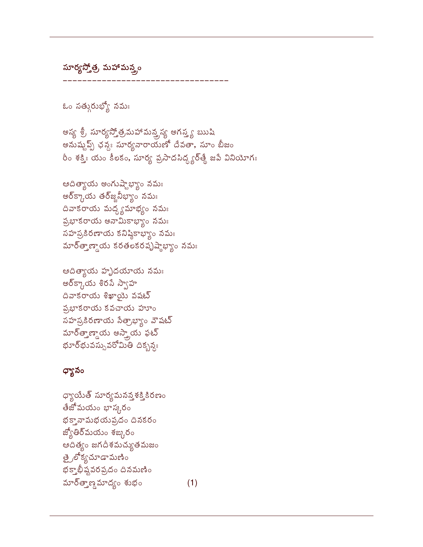ధ్యాయేత్ సూర్యమనన్తశక్తికిరణం తేజోమయం భాస్కరం భక్తానామభయప్రదం దినకరం జ్యోతిర్మయం శఙ్కరం ఆదిత్యం జగదీశమచ్యుతమజం త్రైలోక్యచూడామణిం భక్తాభీష్టవరప్రదం దినమణిం మార్త్తాణ్డమాద్యం శుభం  $(1)$ 

## ధ్యానం

ఆదిత్యాయ హ<mark>ృ</mark>దయాయ నమః అర్క్కాయ శిరసే స్వాహ  $\Delta$ వాకరాయ శిఖాయై వషట్ **ప్రభాకరాయ కవచాయ** హూం సహస్రకిరణాయ సేత్రాభ్యం వౌషట్ మార్త్తాణ్డాయ అస్త్రాయ ఫట్ భూర్భువస్సువరోమితి దిక్బన్యః

ఆదిత్యాయ అంగుష్టాభ్యాం నమః ఆర్క్రాయ తర్జ్జనీభ్యాం నమః దివాకరాయ మద్ధ్యమాభ్యం నమః ప్రభాకరాయ అనామికాభ్యాం నమః -<br>సహస్రకిరణాయ కనిష్ఠికాభ్యం నమః మార్త్తాణ్డాయ కరతలకరపృష్ఠాభ్యం నమ<mark>ః</mark>

అస్య శ్రీ సూర్యస్తోత్రమహామన్త్రస్య అగస్త్య ఋషి అనుష్టప్ప్ ఛన్డే సూర్యనారాయణో దేవతా, సూం బీజం రీం శక్తిః యం కీలకం, సూర్య ప్రసాదసిద్ధ్యర్తే జపే వినియోగః

ఓం సత్సురుభ్యో నమః

సూర్యస్తోత్ర, మహామన్త్రం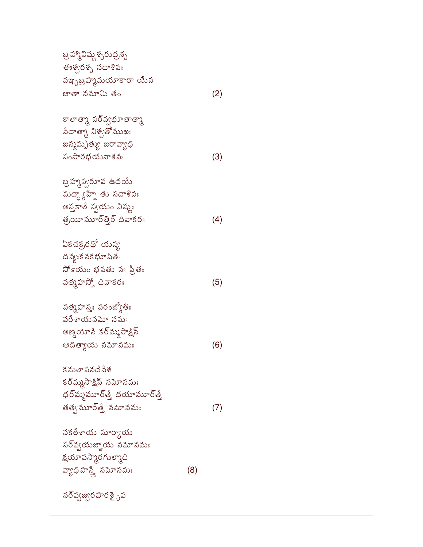## సర్వ్యజ్వరహరశై <sub>ఎ</sub>వ

| సకలేశాయ సూర్యాయ     |     |
|---------------------|-----|
| సర్వ్వయజ్ఞాయ నమోనమః |     |
| క్షయాపస్మారగుల్కాది |     |
| వ్యాధిహస్తే, నమోనమః | (8) |

/
2=-()6
. కర్<sup>మ్మ</sup>సాక్షిన్ నమోనమ<mark>ః</mark> ధర్మ్మమూర్తే దయామూర్తే క తత్వమూర్తే నమోనమః (7)

పత్మహస్తః పరంజ్యోతిః  $\delta$ లేశాయనమో నమః అణ్డయోసే కర్<mark>మ్</mark>మసాక్షిన్ ఆదిత్యాయ నమోనమః (6)

ఏకచక్రరథో యస్య దివ్యఃక నక భూషితః సోకయం భవతు నః ప్రితః పత్మహస్తో దివాకరః (5)

బ్రహ్మహ్వ ఉదయే మద్ధ్య హ్నే తు సదాశివః అస్తకాలే స్వయం విష్ణుః త్రయీమూర్తీర్ దివాకరః $(4)$ 

కాలాత్మా సర్వ్యభూతాత్మా పేదాత్మా విశ్వతోముఖః జన్మమృత్యు జరావ్యాధి సంసారభయనాశనః $(3)$ 

బ్రహ్మావిష్ణ శ్చరుద్రశ్బ ఈశ్వరశ్చ సదాశివః పఞ్బబ్రహ్మమయాకారా యే<mark>న</mark> జాతా నమామి త  $\circ$  (2)